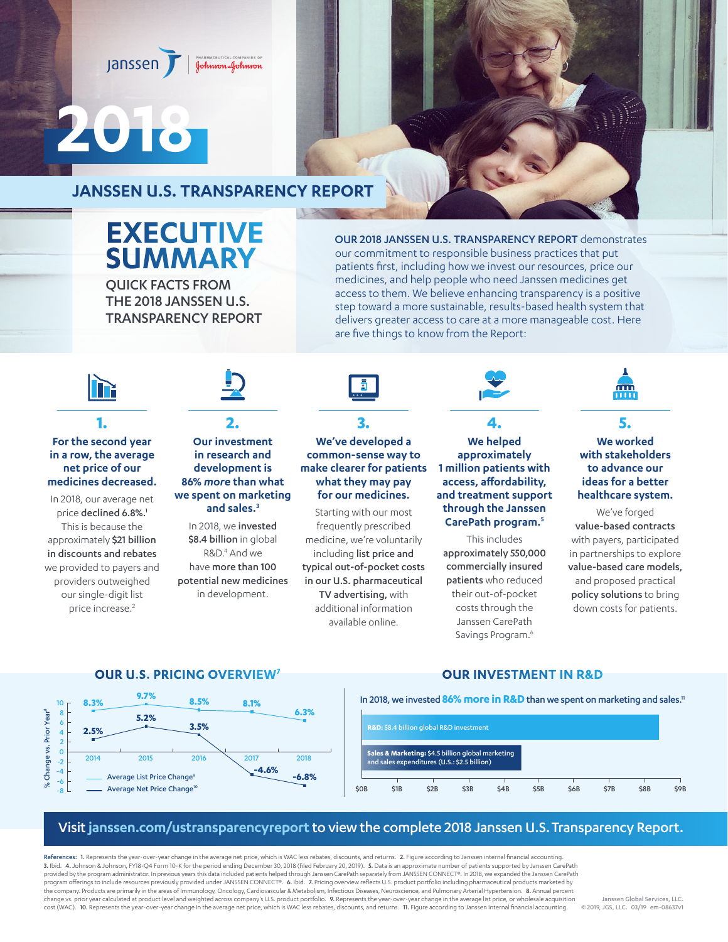#### janssen Johnson-Johnson

# **2018**

# **JANSSEN U.S. TRANSPARENCY REPORT**

# **EXECUTIVE SUMMARY**

QUICK FACTS FROM THE 2018 JANSSEN U.S. TRANSPARENCY REPORT OUR 2018 JANSSEN U.S. TRANSPARENCY REPORT demonstrates our commitment to responsible business practices that put patients first, including how we invest our resources, price our medicines, and help people who need Janssen medicines get access to them. We believe enhancing transparency is a positive step toward a more sustainable, results-based health system that delivers greater access to care at a more manageable cost. Here are five things to know from the Report:

# **1.**

## **For the second year in a row, the average net price of our medicines decreased.**

In 2018, our average net price declined 6.8%.<sup>1</sup> This is because the approximately \$21 billion in discounts and rebates we provided to payers and providers outweighed our single-digit list price increase.<sup>2</sup>

## **2. Our investment in research and development is 86%** *more* **than what we spent on marketing and sales.3**

In 2018, we invested \$8.4 billion in global R&D.<sup>4</sup> And we have more than 100 potential new medicines in development.

# **3. We've developed a common-sense way to**

**make clearer for patients what they may pay for our medicines.** Starting with our most

frequently prescribed medicine, we're voluntarily including list price and typical out-of-pocket costs in our U.S. pharmaceutical TV advertising, with additional information available online.

#### **We helped approximately 1 million patients with access, affordability, and treatment support through the Janssen CarePath program.5**

**4.**

This includes approximately 550,000 commercially insured patients who reduced their out-of-pocket costs through the Janssen CarePath Savings Program.<sup>6</sup>



## **5. We worked with stakeholders to advance our ideas for a better healthcare system.**

We've forged value-based contracts with payers, participated in partnerships to explore value-based care models, and proposed practical policy solutions to bring down costs for patients.

# **OUR U.S. PRICING OVERVIEW7 OUR INVESTMENT IN R&D**





# Visit **[janssen.com/ustransparencyreport](http://janssen.com/ustransparencyreport)** to view the complete 2018 Janssen U.S. Transparency Report.

References: 1. Represents the year-over-year change in the average net price, which is WAC less rebates, discounts, and returns. 2. Figure according to Janssen internal financial accounting. 3. Ibid. 4. Johnson & Johnson, FY18-Q4 Form 10-K for the period ending December 30, 2018 (filed February 20, 2019). 5. Data is an approximate number of patients supported by Janssen CarePath provided by the program administrator. In previous years this data included patients helped through Janssen CarePath separately from JANSSEN CONNECT®. In 2018, we expanded the Janssen CarePath .<br>program offerings to include resources previously provided under JANSSEN CONNECT®. 6. Ibid. 7. Pricing overview reflects U.S. product portfolio including pharmaceutical products marketed by the company. Products are primarily in the areas of Immunology, Oncology, Cardiovascular & Metabolism, Infectious Diseases, Neuroscience, and Pulmonary Arterial Hypertension. <mark>8.</mark> Annual percent<br>change vs. prior year cal cost (WAC). 10. Represents the year-over-year change in the average net price, which is WAC less rebates, discounts, and returns. 11. Figure according to Janssen internal financial accounting.